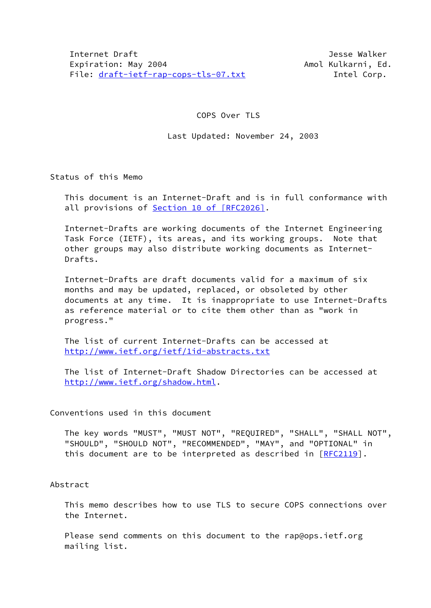## COPS Over TLS

### Last Updated: November 24, 2003

Status of this Memo

 This document is an Internet-Draft and is in full conformance with all provisions of Section [10 of \[RFC2026\]](https://datatracker.ietf.org/doc/pdf/rfc2026#section-10).

 Internet-Drafts are working documents of the Internet Engineering Task Force (IETF), its areas, and its working groups. Note that other groups may also distribute working documents as Internet- Drafts.

 Internet-Drafts are draft documents valid for a maximum of six months and may be updated, replaced, or obsoleted by other documents at any time. It is inappropriate to use Internet-Drafts as reference material or to cite them other than as "work in progress."

 The list of current Internet-Drafts can be accessed at <http://www.ietf.org/ietf/1id-abstracts.txt>

 The list of Internet-Draft Shadow Directories can be accessed at <http://www.ietf.org/shadow.html>.

#### Conventions used in this document

 The key words "MUST", "MUST NOT", "REQUIRED", "SHALL", "SHALL NOT", "SHOULD", "SHOULD NOT", "RECOMMENDED", "MAY", and "OPTIONAL" in this document are to be interpreted as described in  $[REC2119]$ .

Abstract

 This memo describes how to use TLS to secure COPS connections over the Internet.

Please send comments on this document to the rap@ops.ietf.org mailing list.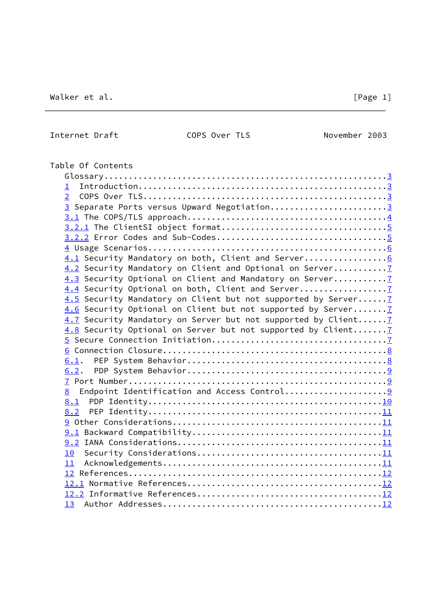Internet Draft COPS Over TLS November 2003

| Table Of Contents                                              |  |
|----------------------------------------------------------------|--|
|                                                                |  |
| $\perp$                                                        |  |
| $\overline{2}$                                                 |  |
| 3 Separate Ports versus Upward Negotiation3                    |  |
|                                                                |  |
|                                                                |  |
|                                                                |  |
|                                                                |  |
| 4.1 Security Mandatory on both, Client and Server6             |  |
|                                                                |  |
|                                                                |  |
| 4.4 Security Optional on both, Client and Server               |  |
| 4.5 Security Mandatory on Client but not supported by Server 7 |  |
| 4.6 Security Optional on Client but not supported by Server 7  |  |
| 4.7 Security Mandatory on Server but not supported by Client7  |  |
| 4.8 Security Optional on Server but not supported by Client7   |  |
|                                                                |  |
|                                                                |  |
|                                                                |  |
|                                                                |  |
|                                                                |  |
| 8                                                              |  |
|                                                                |  |
|                                                                |  |
|                                                                |  |
|                                                                |  |
|                                                                |  |
| 10 <sub>1</sub>                                                |  |
| 11                                                             |  |
|                                                                |  |
|                                                                |  |
|                                                                |  |
|                                                                |  |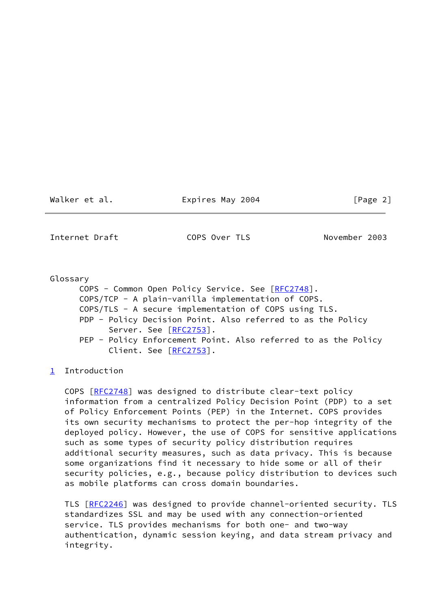Walker et al. **Expires May 2004** [Page 2]

<span id="page-2-0"></span>Internet Draft COPS Over TLS November 2003

 Glossary COPS - Common Open Policy Service. See [[RFC2748\]](https://datatracker.ietf.org/doc/pdf/rfc2748). COPS/TCP - A plain-vanilla implementation of COPS. COPS/TLS - A secure implementation of COPS using TLS. PDP - Policy Decision Point. Also referred to as the Policy Server. See [[RFC2753](https://datatracker.ietf.org/doc/pdf/rfc2753)]. PEP - Policy Enforcement Point. Also referred to as the Policy Client. See [[RFC2753](https://datatracker.ietf.org/doc/pdf/rfc2753)].

<span id="page-2-1"></span>[1](#page-2-1) Introduction

 COPS [[RFC2748](https://datatracker.ietf.org/doc/pdf/rfc2748)] was designed to distribute clear-text policy information from a centralized Policy Decision Point (PDP) to a set of Policy Enforcement Points (PEP) in the Internet. COPS provides its own security mechanisms to protect the per-hop integrity of the deployed policy. However, the use of COPS for sensitive applications such as some types of security policy distribution requires additional security measures, such as data privacy. This is because some organizations find it necessary to hide some or all of their security policies, e.g., because policy distribution to devices such as mobile platforms can cross domain boundaries.

 TLS [\[RFC2246](https://datatracker.ietf.org/doc/pdf/rfc2246)] was designed to provide channel-oriented security. TLS standardizes SSL and may be used with any connection-oriented service. TLS provides mechanisms for both one- and two-way authentication, dynamic session keying, and data stream privacy and integrity.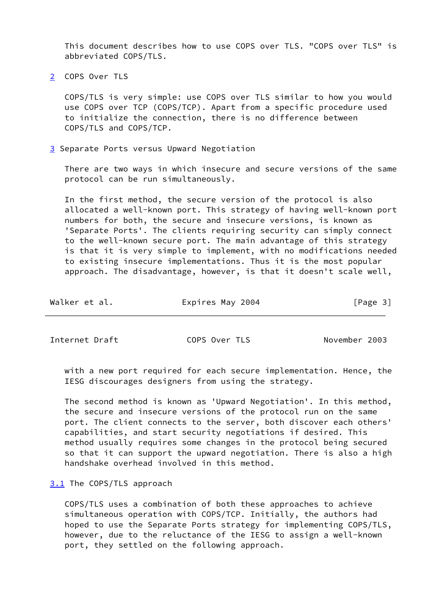This document describes how to use COPS over TLS. "COPS over TLS" is abbreviated COPS/TLS.

<span id="page-3-0"></span>[2](#page-3-0) COPS Over TLS

 COPS/TLS is very simple: use COPS over TLS similar to how you would use COPS over TCP (COPS/TCP). Apart from a specific procedure used to initialize the connection, there is no difference between COPS/TLS and COPS/TCP.

<span id="page-3-1"></span>[3](#page-3-1) Separate Ports versus Upward Negotiation

 There are two ways in which insecure and secure versions of the same protocol can be run simultaneously.

 In the first method, the secure version of the protocol is also allocated a well-known port. This strategy of having well-known port numbers for both, the secure and insecure versions, is known as 'Separate Ports'. The clients requiring security can simply connect to the well-known secure port. The main advantage of this strategy is that it is very simple to implement, with no modifications needed to existing insecure implementations. Thus it is the most popular approach. The disadvantage, however, is that it doesn't scale well,

| Walker et al. | Expires May 2004 | [Page 3] |
|---------------|------------------|----------|
|---------------|------------------|----------|

<span id="page-3-3"></span>Internet Draft COPS Over TLS November 2003

 with a new port required for each secure implementation. Hence, the IESG discourages designers from using the strategy.

 The second method is known as 'Upward Negotiation'. In this method, the secure and insecure versions of the protocol run on the same port. The client connects to the server, both discover each others' capabilities, and start security negotiations if desired. This method usually requires some changes in the protocol being secured so that it can support the upward negotiation. There is also a high handshake overhead involved in this method.

## <span id="page-3-2"></span>[3.1](#page-3-2) The COPS/TLS approach

 COPS/TLS uses a combination of both these approaches to achieve simultaneous operation with COPS/TCP. Initially, the authors had hoped to use the Separate Ports strategy for implementing COPS/TLS, however, due to the reluctance of the IESG to assign a well-known port, they settled on the following approach.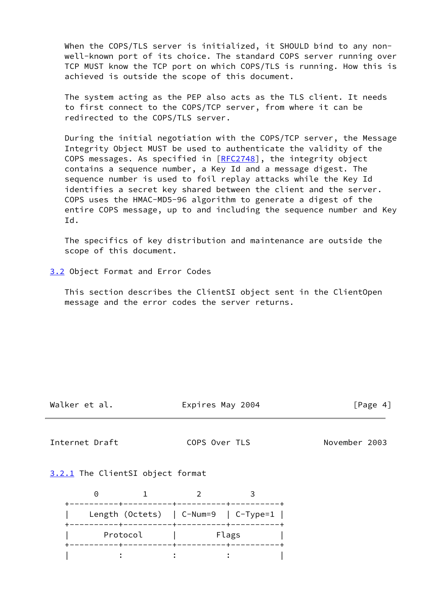When the COPS/TLS server is initialized, it SHOULD bind to any non well-known port of its choice. The standard COPS server running over TCP MUST know the TCP port on which COPS/TLS is running. How this is achieved is outside the scope of this document.

 The system acting as the PEP also acts as the TLS client. It needs to first connect to the COPS/TCP server, from where it can be redirected to the COPS/TLS server.

 During the initial negotiation with the COPS/TCP server, the Message Integrity Object MUST be used to authenticate the validity of the COPS messages. As specified in [\[RFC2748](https://datatracker.ietf.org/doc/pdf/rfc2748)], the integrity object contains a sequence number, a Key Id and a message digest. The sequence number is used to foil replay attacks while the Key Id identifies a secret key shared between the client and the server. COPS uses the HMAC-MD5-96 algorithm to generate a digest of the entire COPS message, up to and including the sequence number and Key Id.

 The specifics of key distribution and maintenance are outside the scope of this document.

<span id="page-4-2"></span>[3.2](#page-4-2) Object Format and Error Codes

 This section describes the ClientSI object sent in the ClientOpen message and the error codes the server returns.

Walker et al. **Expires May 2004** [Page 4]

<span id="page-4-1"></span>Internet Draft COPS Over TLS November 2003

<span id="page-4-0"></span>[3.2.1](#page-4-0) The ClientSI object format

|  |          | Length (Octets)   C-Num=9   C-Type=1 |
|--|----------|--------------------------------------|
|  | Protocol | Flags                                |
|  |          |                                      |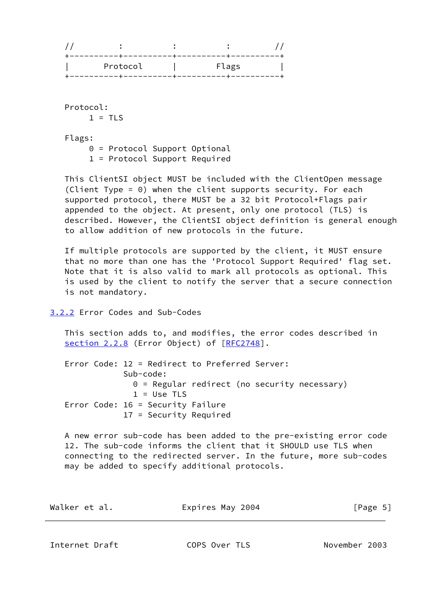| Protocol | Flags |  |
|----------|-------|--|

 Protocol:  $1 = TLS$ 

Flags:

0 = Protocol Support Optional

1 = Protocol Support Required

 This ClientSI object MUST be included with the ClientOpen message (Client Type = 0) when the client supports security. For each supported protocol, there MUST be a 32 bit Protocol+Flags pair appended to the object. At present, only one protocol (TLS) is described. However, the ClientSI object definition is general enough to allow addition of new protocols in the future.

 If multiple protocols are supported by the client, it MUST ensure that no more than one has the 'Protocol Support Required' flag set. Note that it is also valid to mark all protocols as optional. This is used by the client to notify the server that a secure connection is not mandatory.

# <span id="page-5-0"></span>[3.2.2](#page-5-0) Error Codes and Sub-Codes

 This section adds to, and modifies, the error codes described in section 2.2.8 (Error Object) of [\[RFC2748](https://datatracker.ietf.org/doc/pdf/rfc2748)].

 Error Code: 12 = Redirect to Preferred Server: Sub-code: 0 = Regular redirect (no security necessary)  $1 =$  Use TLS Error Code: 16 = Security Failure 17 = Security Required

 A new error sub-code has been added to the pre-existing error code 12. The sub-code informs the client that it SHOULD use TLS when connecting to the redirected server. In the future, more sub-codes may be added to specify additional protocols.

| Walker et al. | Expires May 2004 | [Page 5] |
|---------------|------------------|----------|
|               |                  |          |

<span id="page-5-1"></span>Internet Draft COPS Over TLS November 2003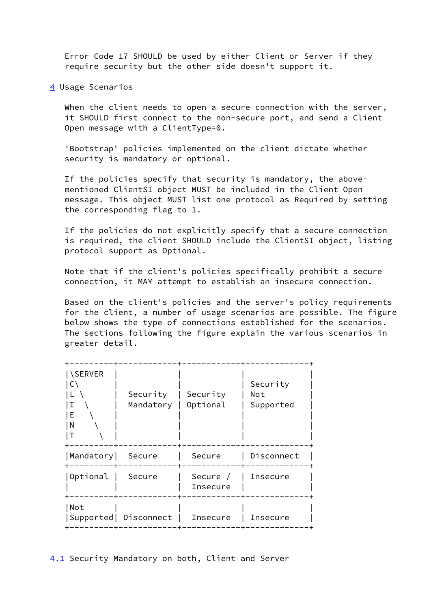Error Code 17 SHOULD be used by either Client or Server if they require security but the other side doesn't support it.

<span id="page-6-0"></span>[4](#page-6-0) Usage Scenarios

When the client needs to open a secure connection with the server, it SHOULD first connect to the non-secure port, and send a Client Open message with a ClientType=0.

 'Bootstrap' policies implemented on the client dictate whether security is mandatory or optional.

 If the policies specify that security is mandatory, the above mentioned ClientSI object MUST be included in the Client Open message. This object MUST list one protocol as Required by setting the corresponding flag to 1.

 If the policies do not explicitly specify that a secure connection is required, the client SHOULD include the ClientSI object, listing protocol support as Optional.

 Note that if the client's policies specifically prohibit a secure connection, it MAY attempt to establish an insecure connection.

 Based on the client's policies and the server's policy requirements for the client, a number of usage scenarios are possible. The figure below shows the type of connections established for the scenarios. The sections following the figure explain the various scenarios in greater detail.

| <b>SERVER</b><br>Ι<br>F<br>N | Security<br>Mandatory  | Security<br>Optional | Security<br>Not<br>Supported |
|------------------------------|------------------------|----------------------|------------------------------|
| Mandatory                    | Secure                 | Secure               | Disconnect                   |
| Optional                     | Secure                 | Secure /<br>Insecure | Insecure                     |
| Not                          | Supported   Disconnect | Insecure             | Insecure                     |

<span id="page-6-1"></span>[4.1](#page-6-1) Security Mandatory on both, Client and Server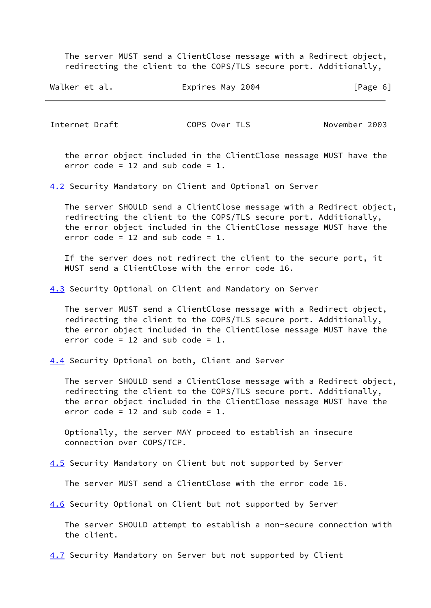The server MUST send a ClientClose message with a Redirect object, redirecting the client to the COPS/TLS secure port. Additionally,

| Walker et al. | Expires May 2004 | [Page 6] |
|---------------|------------------|----------|
|---------------|------------------|----------|

<span id="page-7-1"></span>Internet Draft COPS Over TLS November 2003

 the error object included in the ClientClose message MUST have the error code = 12 and sub code =  $1$ .

<span id="page-7-0"></span>[4.2](#page-7-0) Security Mandatory on Client and Optional on Server

 The server SHOULD send a ClientClose message with a Redirect object, redirecting the client to the COPS/TLS secure port. Additionally, the error object included in the ClientClose message MUST have the error code =  $12$  and sub code =  $1.$ 

 If the server does not redirect the client to the secure port, it MUST send a ClientClose with the error code 16.

<span id="page-7-2"></span>[4.3](#page-7-2) Security Optional on Client and Mandatory on Server

 The server MUST send a ClientClose message with a Redirect object, redirecting the client to the COPS/TLS secure port. Additionally, the error object included in the ClientClose message MUST have the error code = 12 and sub code = 1.

<span id="page-7-3"></span>[4.4](#page-7-3) Security Optional on both, Client and Server

 The server SHOULD send a ClientClose message with a Redirect object, redirecting the client to the COPS/TLS secure port. Additionally, the error object included in the ClientClose message MUST have the error code =  $12$  and sub code =  $1$ .

 Optionally, the server MAY proceed to establish an insecure connection over COPS/TCP.

<span id="page-7-4"></span>[4.5](#page-7-4) Security Mandatory on Client but not supported by Server

The server MUST send a ClientClose with the error code 16.

<span id="page-7-5"></span>[4.6](#page-7-5) Security Optional on Client but not supported by Server

 The server SHOULD attempt to establish a non-secure connection with the client.

<span id="page-7-6"></span>[4.7](#page-7-6) Security Mandatory on Server but not supported by Client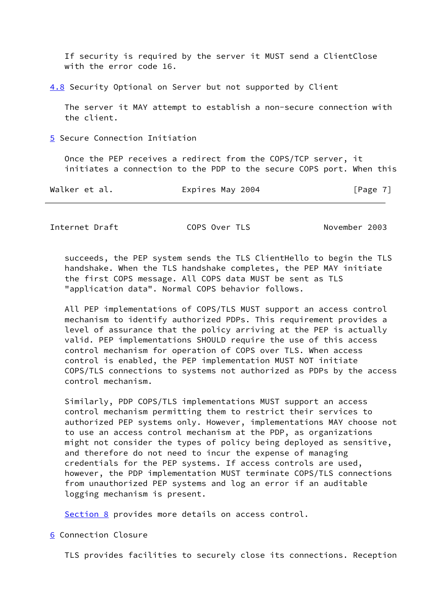If security is required by the server it MUST send a ClientClose with the error code 16.

<span id="page-8-0"></span>[4.8](#page-8-0) Security Optional on Server but not supported by Client

 The server it MAY attempt to establish a non-secure connection with the client.

<span id="page-8-1"></span>[5](#page-8-1) Secure Connection Initiation

 Once the PEP receives a redirect from the COPS/TCP server, it initiates a connection to the PDP to the secure COPS port. When this

| Walker et al. | Expires May 2004 | [Page 7] |
|---------------|------------------|----------|
|---------------|------------------|----------|

<span id="page-8-3"></span>Internet Draft COPS Over TLS November 2003

 succeeds, the PEP system sends the TLS ClientHello to begin the TLS handshake. When the TLS handshake completes, the PEP MAY initiate the first COPS message. All COPS data MUST be sent as TLS "application data". Normal COPS behavior follows.

 All PEP implementations of COPS/TLS MUST support an access control mechanism to identify authorized PDPs. This requirement provides a level of assurance that the policy arriving at the PEP is actually valid. PEP implementations SHOULD require the use of this access control mechanism for operation of COPS over TLS. When access control is enabled, the PEP implementation MUST NOT initiate COPS/TLS connections to systems not authorized as PDPs by the access control mechanism.

 Similarly, PDP COPS/TLS implementations MUST support an access control mechanism permitting them to restrict their services to authorized PEP systems only. However, implementations MAY choose not to use an access control mechanism at the PDP, as organizations might not consider the types of policy being deployed as sensitive, and therefore do not need to incur the expense of managing credentials for the PEP systems. If access controls are used, however, the PDP implementation MUST terminate COPS/TLS connections from unauthorized PEP systems and log an error if an auditable logging mechanism is present.

[Section 8](#page-10-1) provides more details on access control.

<span id="page-8-2"></span>[6](#page-8-2) Connection Closure

TLS provides facilities to securely close its connections. Reception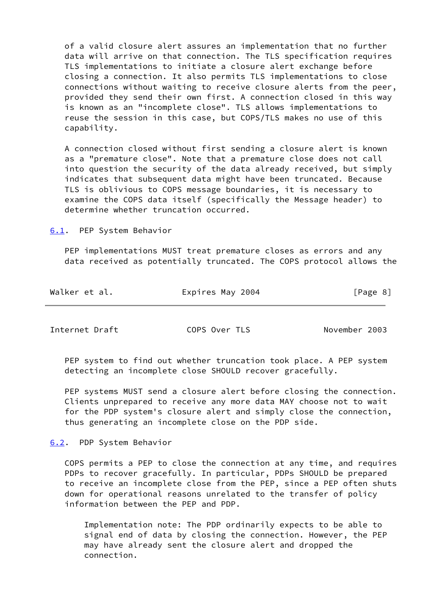of a valid closure alert assures an implementation that no further data will arrive on that connection. The TLS specification requires TLS implementations to initiate a closure alert exchange before closing a connection. It also permits TLS implementations to close connections without waiting to receive closure alerts from the peer, provided they send their own first. A connection closed in this way is known as an "incomplete close". TLS allows implementations to reuse the session in this case, but COPS/TLS makes no use of this capability.

 A connection closed without first sending a closure alert is known as a "premature close". Note that a premature close does not call into question the security of the data already received, but simply indicates that subsequent data might have been truncated. Because TLS is oblivious to COPS message boundaries, it is necessary to examine the COPS data itself (specifically the Message header) to determine whether truncation occurred.

<span id="page-9-0"></span>[6.1](#page-9-0). PEP System Behavior

 PEP implementations MUST treat premature closes as errors and any data received as potentially truncated. The COPS protocol allows the

| Walker et al. | Expires May 2004 | [Page 8] |
|---------------|------------------|----------|
|               |                  |          |

<span id="page-9-2"></span>Internet Draft COPS Over TLS November 2003

 PEP system to find out whether truncation took place. A PEP system detecting an incomplete close SHOULD recover gracefully.

 PEP systems MUST send a closure alert before closing the connection. Clients unprepared to receive any more data MAY choose not to wait for the PDP system's closure alert and simply close the connection, thus generating an incomplete close on the PDP side.

<span id="page-9-1"></span>[6.2](#page-9-1). PDP System Behavior

 COPS permits a PEP to close the connection at any time, and requires PDPs to recover gracefully. In particular, PDPs SHOULD be prepared to receive an incomplete close from the PEP, since a PEP often shuts down for operational reasons unrelated to the transfer of policy information between the PEP and PDP.

 Implementation note: The PDP ordinarily expects to be able to signal end of data by closing the connection. However, the PEP may have already sent the closure alert and dropped the connection.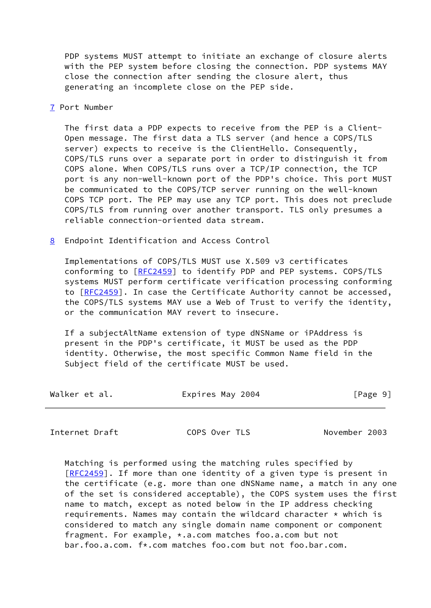PDP systems MUST attempt to initiate an exchange of closure alerts with the PEP system before closing the connection. PDP systems MAY close the connection after sending the closure alert, thus generating an incomplete close on the PEP side.

<span id="page-10-0"></span>[7](#page-10-0) Port Number

 The first data a PDP expects to receive from the PEP is a Client- Open message. The first data a TLS server (and hence a COPS/TLS server) expects to receive is the ClientHello. Consequently, COPS/TLS runs over a separate port in order to distinguish it from COPS alone. When COPS/TLS runs over a TCP/IP connection, the TCP port is any non-well-known port of the PDP's choice. This port MUST be communicated to the COPS/TCP server running on the well-known COPS TCP port. The PEP may use any TCP port. This does not preclude COPS/TLS from running over another transport. TLS only presumes a reliable connection-oriented data stream.

<span id="page-10-1"></span>[8](#page-10-1) Endpoint Identification and Access Control

 Implementations of COPS/TLS MUST use X.509 v3 certificates conforming to [\[RFC2459](https://datatracker.ietf.org/doc/pdf/rfc2459)] to identify PDP and PEP systems. COPS/TLS systems MUST perform certificate verification processing conforming to [\[RFC2459](https://datatracker.ietf.org/doc/pdf/rfc2459)]. In case the Certificate Authority cannot be accessed, the COPS/TLS systems MAY use a Web of Trust to verify the identity, or the communication MAY revert to insecure.

 If a subjectAltName extension of type dNSName or iPAddress is present in the PDP's certificate, it MUST be used as the PDP identity. Otherwise, the most specific Common Name field in the Subject field of the certificate MUST be used.

| Walker et al. | Expires May 2004 | [Page 9] |
|---------------|------------------|----------|
|---------------|------------------|----------|

<span id="page-10-2"></span>Internet Draft COPS Over TLS November 2003

 Matching is performed using the matching rules specified by [\[RFC2459](https://datatracker.ietf.org/doc/pdf/rfc2459)]. If more than one identity of a given type is present in the certificate (e.g. more than one dNSName name, a match in any one of the set is considered acceptable), the COPS system uses the first name to match, except as noted below in the IP address checking requirements. Names may contain the wildcard character  $*$  which is considered to match any single domain name component or component fragment. For example, \*.a.com matches foo.a.com but not bar.foo.a.com. f\*.com matches foo.com but not foo.bar.com.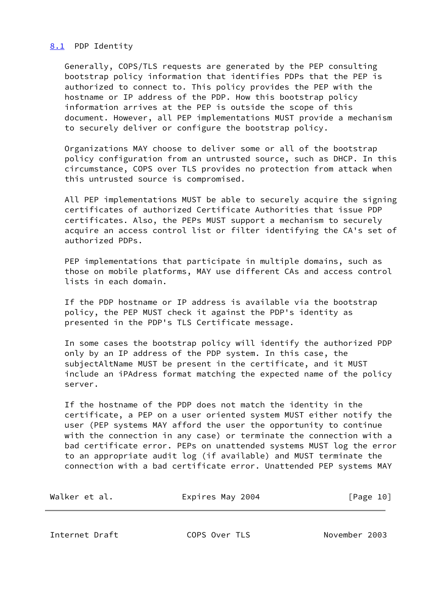## <span id="page-11-0"></span>[8.1](#page-11-0) PDP Identity

 Generally, COPS/TLS requests are generated by the PEP consulting bootstrap policy information that identifies PDPs that the PEP is authorized to connect to. This policy provides the PEP with the hostname or IP address of the PDP. How this bootstrap policy information arrives at the PEP is outside the scope of this document. However, all PEP implementations MUST provide a mechanism to securely deliver or configure the bootstrap policy.

 Organizations MAY choose to deliver some or all of the bootstrap policy configuration from an untrusted source, such as DHCP. In this circumstance, COPS over TLS provides no protection from attack when this untrusted source is compromised.

 All PEP implementations MUST be able to securely acquire the signing certificates of authorized Certificate Authorities that issue PDP certificates. Also, the PEPs MUST support a mechanism to securely acquire an access control list or filter identifying the CA's set of authorized PDPs.

PEP implementations that participate in multiple domains, such as those on mobile platforms, MAY use different CAs and access control lists in each domain.

 If the PDP hostname or IP address is available via the bootstrap policy, the PEP MUST check it against the PDP's identity as presented in the PDP's TLS Certificate message.

 In some cases the bootstrap policy will identify the authorized PDP only by an IP address of the PDP system. In this case, the subjectAltName MUST be present in the certificate, and it MUST include an iPAdress format matching the expected name of the policy server.

 If the hostname of the PDP does not match the identity in the certificate, a PEP on a user oriented system MUST either notify the user (PEP systems MAY afford the user the opportunity to continue with the connection in any case) or terminate the connection with a bad certificate error. PEPs on unattended systems MUST log the error to an appropriate audit log (if available) and MUST terminate the connection with a bad certificate error. Unattended PEP systems MAY

| Walker et al. | Expires May 2004 | [Page 10] |
|---------------|------------------|-----------|
|---------------|------------------|-----------|

<span id="page-11-1"></span>Internet Draft COPS Over TLS November 2003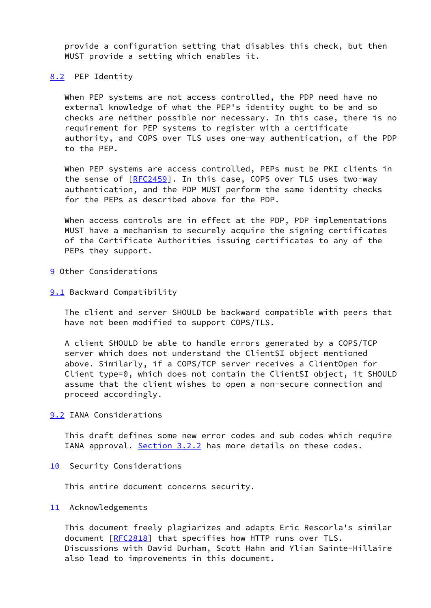provide a configuration setting that disables this check, but then MUST provide a setting which enables it.

#### <span id="page-12-0"></span>[8.2](#page-12-0) PEP Identity

 When PEP systems are not access controlled, the PDP need have no external knowledge of what the PEP's identity ought to be and so checks are neither possible nor necessary. In this case, there is no requirement for PEP systems to register with a certificate authority, and COPS over TLS uses one-way authentication, of the PDP to the PEP.

 When PEP systems are access controlled, PEPs must be PKI clients in the sense of [[RFC2459](https://datatracker.ietf.org/doc/pdf/rfc2459)]. In this case, COPS over TLS uses two-way authentication, and the PDP MUST perform the same identity checks for the PEPs as described above for the PDP.

 When access controls are in effect at the PDP, PDP implementations MUST have a mechanism to securely acquire the signing certificates of the Certificate Authorities issuing certificates to any of the PEPs they support.

- <span id="page-12-1"></span>[9](#page-12-1) Other Considerations
- <span id="page-12-2"></span>[9.1](#page-12-2) Backward Compatibility

 The client and server SHOULD be backward compatible with peers that have not been modified to support COPS/TLS.

 A client SHOULD be able to handle errors generated by a COPS/TCP server which does not understand the ClientSI object mentioned above. Similarly, if a COPS/TCP server receives a ClientOpen for Client type=0, which does not contain the ClientSI object, it SHOULD assume that the client wishes to open a non-secure connection and proceed accordingly.

<span id="page-12-3"></span>[9.2](#page-12-3) IANA Considerations

 This draft defines some new error codes and sub codes which require IANA approval. [Section 3.2.2](#page-5-0) has more details on these codes.

<span id="page-12-4"></span>[10](#page-12-4) Security Considerations

This entire document concerns security.

<span id="page-12-5"></span>[11](#page-12-5) Acknowledgements

 This document freely plagiarizes and adapts Eric Rescorla's similar document [[RFC2818](https://datatracker.ietf.org/doc/pdf/rfc2818)] that specifies how HTTP runs over TLS. Discussions with David Durham, Scott Hahn and Ylian Sainte-Hillaire also lead to improvements in this document.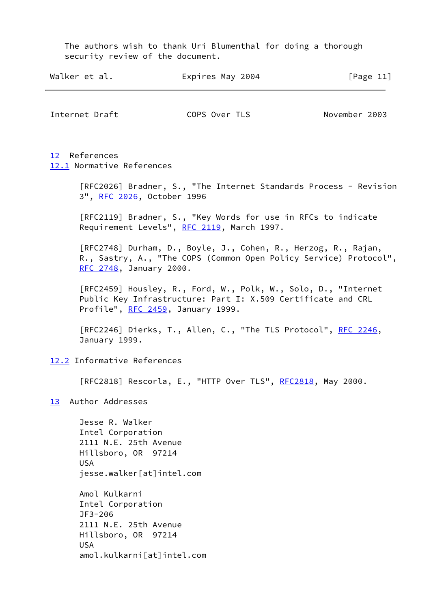The authors wish to thank Uri Blumenthal for doing a thorough

<span id="page-13-2"></span><span id="page-13-1"></span><span id="page-13-0"></span>

|           | Walker et al.                                                                                                                   | Expires May 2004                                                                                                                                                    | [Page $11$ ]  |
|-----------|---------------------------------------------------------------------------------------------------------------------------------|---------------------------------------------------------------------------------------------------------------------------------------------------------------------|---------------|
|           | Internet Draft                                                                                                                  | COPS Over TLS                                                                                                                                                       | November 2003 |
|           | 12 References<br>12.1 Normative References                                                                                      |                                                                                                                                                                     |               |
|           | 3", RFC 2026, October 1996                                                                                                      | [RFC2026] Bradner, S., "The Internet Standards Process - Revision                                                                                                   |               |
|           |                                                                                                                                 | [RFC2119] Bradner, S., "Key Words for use in RFCs to indicate<br>Requirement Levels", RFC 2119, March 1997.                                                         |               |
|           | RFC 2748, January 2000.                                                                                                         | [RFC2748] Durham, D., Boyle, J., Cohen, R., Herzog, R., Rajan,<br>R., Sastry, A., "The COPS (Common Open Policy Service) Protocol",                                 |               |
|           |                                                                                                                                 | [RFC2459] Housley, R., Ford, W., Polk, W., Solo, D., "Internet<br>Public Key Infrastructure: Part I: X.509 Certificate and CRL<br>Profile", RFC 2459, January 1999. |               |
|           | January 1999.                                                                                                                   | [RFC2246] Dierks, T., Allen, C., "The TLS Protocol", RFC 2246,                                                                                                      |               |
|           | 12.2 Informative References                                                                                                     |                                                                                                                                                                     |               |
|           |                                                                                                                                 | [RFC2818] Rescorla, E., "HTTP Over TLS", RFC2818, May 2000.                                                                                                         |               |
| <u>13</u> | Author Addresses                                                                                                                |                                                                                                                                                                     |               |
|           | Jesse R. Walker<br>Intel Corporation<br>2111 N.E. 25th Avenue<br>Hillsboro, OR 97214<br><b>USA</b><br>jesse.walker[at]intel.com |                                                                                                                                                                     |               |
|           | $A \mod$ Kulkarni                                                                                                               |                                                                                                                                                                     |               |

<span id="page-13-4"></span><span id="page-13-3"></span> Amol Kulkarni Intel Corporation JF3-206 2111 N.E. 25th Avenue Hillsboro, OR 97214 USA amol.kulkarni[at]intel.com